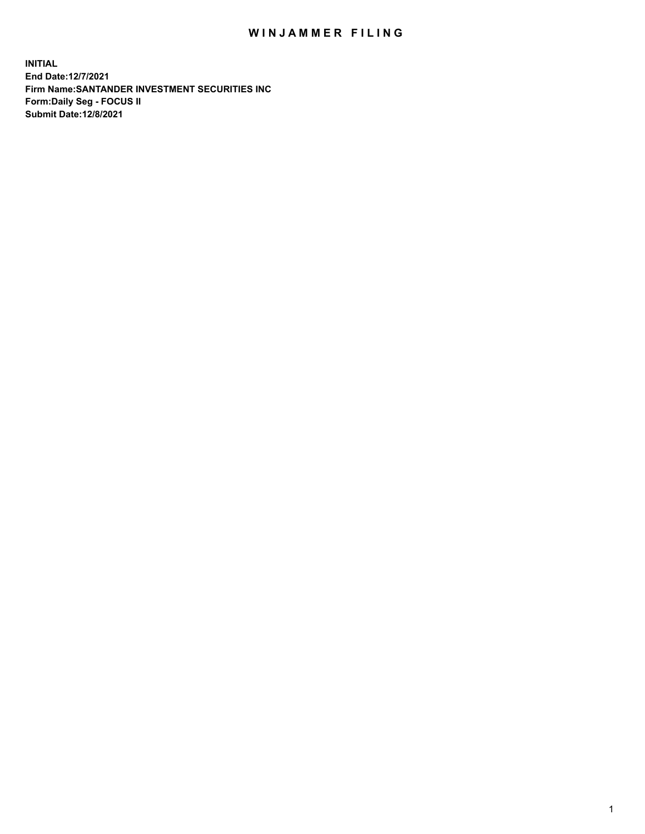## WIN JAMMER FILING

**INITIAL End Date:12/7/2021 Firm Name:SANTANDER INVESTMENT SECURITIES INC Form:Daily Seg - FOCUS II Submit Date:12/8/2021**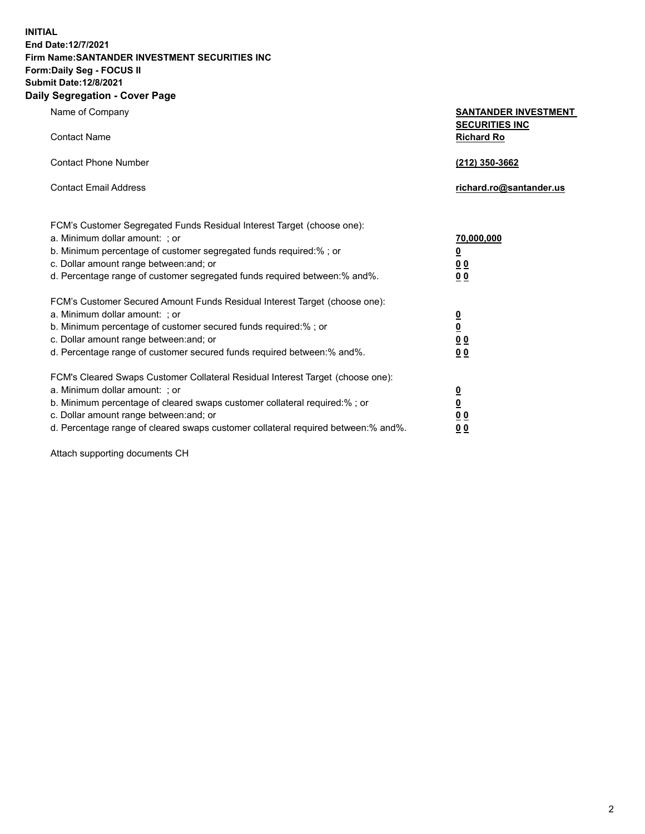**INITIAL End Date:12/7/2021 Firm Name:SANTANDER INVESTMENT SECURITIES INC Form:Daily Seg - FOCUS II Submit Date:12/8/2021 Daily Segregation - Cover Page**

| Name of Company                                                                   | <b>SANTANDER INVESTMENT</b><br><b>SECURITIES INC</b> |
|-----------------------------------------------------------------------------------|------------------------------------------------------|
| <b>Contact Name</b>                                                               | <b>Richard Ro</b>                                    |
| <b>Contact Phone Number</b>                                                       | (212) 350-3662                                       |
| <b>Contact Email Address</b>                                                      | richard.ro@santander.us                              |
| FCM's Customer Segregated Funds Residual Interest Target (choose one):            |                                                      |
| a. Minimum dollar amount: ; or                                                    | 70,000,000                                           |
| b. Minimum percentage of customer segregated funds required:%; or                 | $\overline{\mathbf{0}}$                              |
| c. Dollar amount range between: and; or                                           | 0 <sub>0</sub>                                       |
| d. Percentage range of customer segregated funds required between: % and %.       | 0 <sub>0</sub>                                       |
| FCM's Customer Secured Amount Funds Residual Interest Target (choose one):        |                                                      |
| a. Minimum dollar amount: ; or                                                    | $\overline{\mathbf{0}}$                              |
| b. Minimum percentage of customer secured funds required:%; or                    | $\underline{\mathbf{0}}$                             |
| c. Dollar amount range between: and; or                                           | 0 <sub>0</sub>                                       |
| d. Percentage range of customer secured funds required between: % and %.          | 0 <sub>0</sub>                                       |
| FCM's Cleared Swaps Customer Collateral Residual Interest Target (choose one):    |                                                      |
| a. Minimum dollar amount: ; or                                                    | $\overline{\mathbf{0}}$                              |
| b. Minimum percentage of cleared swaps customer collateral required:%; or         | $\underline{\mathbf{0}}$                             |
| c. Dollar amount range between: and; or                                           | 0 <sub>0</sub>                                       |
| d. Percentage range of cleared swaps customer collateral required between:% and%. | 0 <sub>0</sub>                                       |

Attach supporting documents CH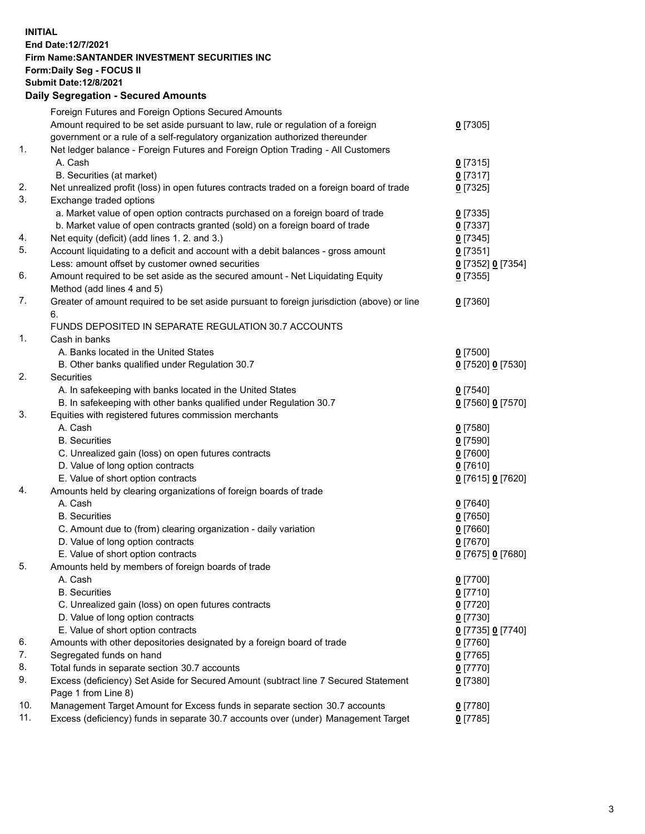**INITIAL End Date:12/7/2021 Firm Name:SANTANDER INVESTMENT SECURITIES INC Form:Daily Seg - FOCUS II Submit Date:12/8/2021 Daily Segregation - Secured Amounts**

|     | Foreign Futures and Foreign Options Secured Amounts                                         |                   |
|-----|---------------------------------------------------------------------------------------------|-------------------|
|     | Amount required to be set aside pursuant to law, rule or regulation of a foreign            | $0$ [7305]        |
|     | government or a rule of a self-regulatory organization authorized thereunder                |                   |
| 1.  | Net ledger balance - Foreign Futures and Foreign Option Trading - All Customers             |                   |
|     | A. Cash                                                                                     | $0$ [7315]        |
|     | B. Securities (at market)                                                                   | $0$ [7317]        |
| 2.  | Net unrealized profit (loss) in open futures contracts traded on a foreign board of trade   | $0$ [7325]        |
| 3.  | Exchange traded options                                                                     |                   |
|     | a. Market value of open option contracts purchased on a foreign board of trade              | $0$ [7335]        |
|     | b. Market value of open contracts granted (sold) on a foreign board of trade                | $0$ [7337]        |
| 4.  | Net equity (deficit) (add lines 1. 2. and 3.)                                               | $0$ [7345]        |
| 5.  | Account liquidating to a deficit and account with a debit balances - gross amount           | $0$ [7351]        |
|     | Less: amount offset by customer owned securities                                            | 0 [7352] 0 [7354] |
| 6.  | Amount required to be set aside as the secured amount - Net Liquidating Equity              | $0$ [7355]        |
|     | Method (add lines 4 and 5)                                                                  |                   |
| 7.  | Greater of amount required to be set aside pursuant to foreign jurisdiction (above) or line | $0$ [7360]        |
|     | 6.                                                                                          |                   |
|     | FUNDS DEPOSITED IN SEPARATE REGULATION 30.7 ACCOUNTS                                        |                   |
| 1.  | Cash in banks                                                                               |                   |
|     | A. Banks located in the United States                                                       | $0$ [7500]        |
|     | B. Other banks qualified under Regulation 30.7                                              | 0 [7520] 0 [7530] |
| 2.  | <b>Securities</b>                                                                           |                   |
|     | A. In safekeeping with banks located in the United States                                   | $0$ [7540]        |
|     | B. In safekeeping with other banks qualified under Regulation 30.7                          | 0 [7560] 0 [7570] |
| 3.  | Equities with registered futures commission merchants                                       |                   |
|     | A. Cash                                                                                     | $0$ [7580]        |
|     | <b>B.</b> Securities                                                                        | $0$ [7590]        |
|     | C. Unrealized gain (loss) on open futures contracts                                         | $0$ [7600]        |
|     | D. Value of long option contracts                                                           | $0$ [7610]        |
|     | E. Value of short option contracts                                                          | 0 [7615] 0 [7620] |
| 4.  | Amounts held by clearing organizations of foreign boards of trade                           |                   |
|     | A. Cash                                                                                     | $0$ [7640]        |
|     | <b>B.</b> Securities                                                                        | $0$ [7650]        |
|     | C. Amount due to (from) clearing organization - daily variation                             | $0$ [7660]        |
|     | D. Value of long option contracts                                                           | $0$ [7670]        |
|     | E. Value of short option contracts                                                          | 0 [7675] 0 [7680] |
| 5.  | Amounts held by members of foreign boards of trade                                          |                   |
|     | A. Cash                                                                                     | 0 [7700]          |
|     | <b>B.</b> Securities                                                                        | $0$ [7710]        |
|     | C. Unrealized gain (loss) on open futures contracts                                         | $0$ [7720]        |
|     | D. Value of long option contracts                                                           | $0$ [7730]        |
|     | E. Value of short option contracts                                                          | 0 [7735] 0 [7740] |
| 6.  | Amounts with other depositories designated by a foreign board of trade                      | $0$ [7760]        |
| 7.  | Segregated funds on hand                                                                    | $0$ [7765]        |
| 8.  | Total funds in separate section 30.7 accounts                                               | $0$ [7770]        |
| 9.  | Excess (deficiency) Set Aside for Secured Amount (subtract line 7 Secured Statement         | $0$ [7380]        |
|     | Page 1 from Line 8)                                                                         |                   |
| 10. | Management Target Amount for Excess funds in separate section 30.7 accounts                 | $0$ [7780]        |
| 11. | Excess (deficiency) funds in separate 30.7 accounts over (under) Management Target          | $0$ [7785]        |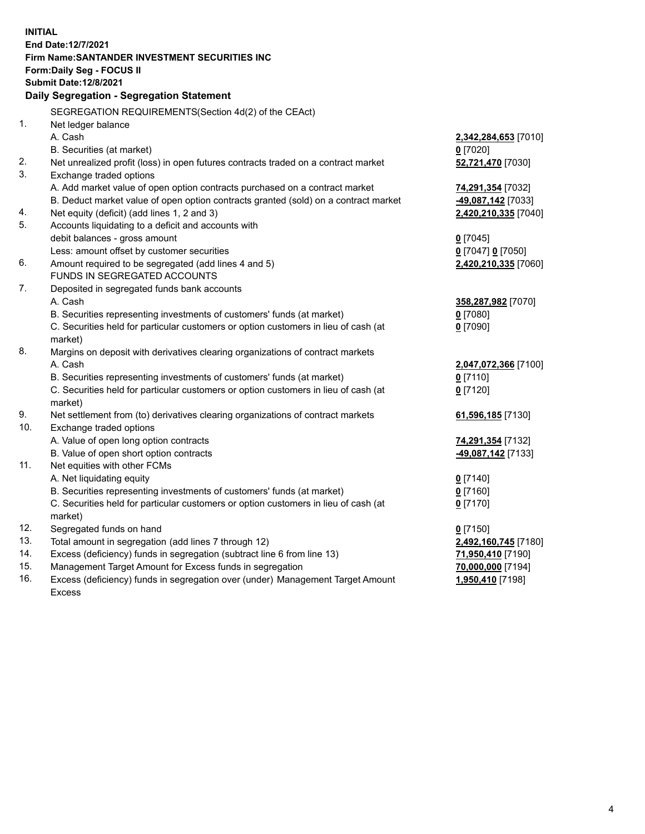| <b>INITIAL</b> |                                                                                     |                      |
|----------------|-------------------------------------------------------------------------------------|----------------------|
|                | End Date:12/7/2021                                                                  |                      |
|                | Firm Name: SANTANDER INVESTMENT SECURITIES INC                                      |                      |
|                | Form: Daily Seg - FOCUS II                                                          |                      |
|                | <b>Submit Date:12/8/2021</b>                                                        |                      |
|                | Daily Segregation - Segregation Statement                                           |                      |
|                | SEGREGATION REQUIREMENTS(Section 4d(2) of the CEAct)                                |                      |
| 1.             | Net ledger balance                                                                  |                      |
|                | A. Cash                                                                             | 2,342,284,653 [7010] |
|                | B. Securities (at market)                                                           | $0$ [7020]           |
| 2.             | Net unrealized profit (loss) in open futures contracts traded on a contract market  | 52,721,470 [7030]    |
| 3.             | Exchange traded options                                                             |                      |
|                | A. Add market value of open option contracts purchased on a contract market         | 74,291,354 [7032]    |
|                | B. Deduct market value of open option contracts granted (sold) on a contract market | -49,087,142 [7033]   |
| 4.             | Net equity (deficit) (add lines 1, 2 and 3)                                         | 2,420,210,335 [7040] |
| 5.             | Accounts liquidating to a deficit and accounts with                                 |                      |
|                | debit balances - gross amount                                                       | $0$ [7045]           |
|                | Less: amount offset by customer securities                                          | 0 [7047] 0 [7050]    |
| 6.             | Amount required to be segregated (add lines 4 and 5)                                | 2,420,210,335 [7060] |
|                | FUNDS IN SEGREGATED ACCOUNTS                                                        |                      |
| 7.             | Deposited in segregated funds bank accounts                                         |                      |
|                | A. Cash                                                                             | 358,287,982 [7070]   |
|                | B. Securities representing investments of customers' funds (at market)              | $0$ [7080]           |
|                | C. Securities held for particular customers or option customers in lieu of cash (at | $0$ [7090]           |
|                | market)                                                                             |                      |
| 8.             | Margins on deposit with derivatives clearing organizations of contract markets      |                      |
|                | A. Cash                                                                             | 2,047,072,366 [7100] |
|                | B. Securities representing investments of customers' funds (at market)              | $0$ [7110]           |
|                | C. Securities held for particular customers or option customers in lieu of cash (at | $0$ [7120]           |
|                | market)                                                                             |                      |
| 9.             | Net settlement from (to) derivatives clearing organizations of contract markets     | 61,596,185 [7130]    |
| 10.            | Exchange traded options                                                             |                      |
|                | A. Value of open long option contracts                                              | 74,291,354 [7132]    |
|                | B. Value of open short option contracts                                             | -49,087,142 [7133]   |
| 11.            | Net equities with other FCMs                                                        |                      |
|                | A. Net liquidating equity                                                           | $0$ [7140]           |
|                | B. Securities representing investments of customers' funds (at market)              | $0$ [7160]           |
|                | C. Securities held for particular customers or option customers in lieu of cash (at | $0$ [7170]           |
|                | market)                                                                             |                      |
| 12.            | Segregated funds on hand                                                            | $0$ [7150]           |
| 13.            | Total amount in segregation (add lines 7 through 12)                                | 2,492,160,745 [7180] |
| 14.            | Excess (deficiency) funds in segregation (subtract line 6 from line 13)             | 71,950,410 [7190]    |
| 15.            | Management Target Amount for Excess funds in segregation                            | 70,000,000 [7194]    |
| 16.            | Excess (deficiency) funds in segregation over (under) Management Target Amount      | 1,950,410 [7198]     |
|                | <b>Excess</b>                                                                       |                      |